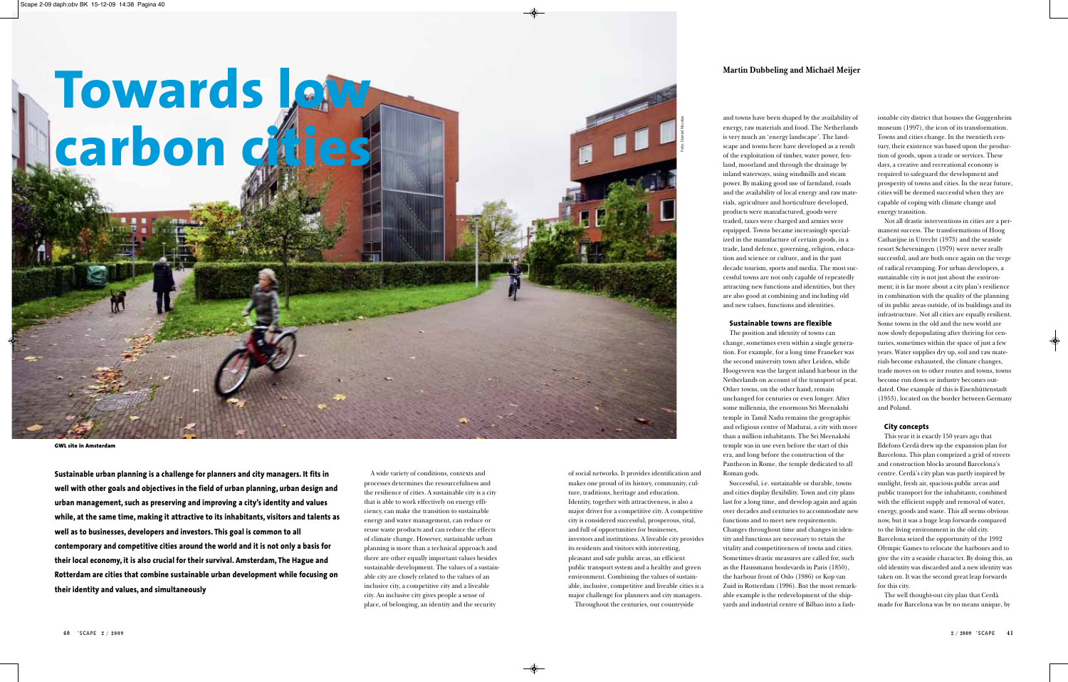A wide variety of conditions, contexts and processes determines the resourcefulness and the resilience of cities. A sustainable city is a city that is able to work effectively on energy efficiency, can make the transition to sustainable energy and water management, can reduce or reuse waste products and can reduce the effects of climate change. However, sustainable urban planning is more than a technical approach and there are other equally important values besides sustainable development. The values of a sustainable city are closely related to the values of an inclusive city, a competitive city and a liveable city. An inclusive city gives people a sense of place, of belonging, an identity and the security

ionable city district that houses the Guggenheim museum (1997), the icon of its transformation. Towns and cities change. In the twentieth century, their existence was based upon the production of goods, upon a trade or services. These days, a creative and recreational economy is required to safeguard the development and prosperity of towns and cities. In the near future, cities will be deemed successful when they are capable of coping with climate change and energy transition.

Not all drastic interventions in cities are a permanent success. The transformations of Hoog Catharijne in Utrecht (1973) and the seaside resort Scheveningen (1979) were never really successful, and are both once again on the verge of radical revamping. For urban developers, a sustainable city is not just about the environment; it is far more about a city plan's resilience in combination with the quality of the planning of its public areas outside, of its buildings and its infrastructure. Not all cities are equally resilient. Some towns in the old and the new world are now slowly depopulating after thriving for centuries, sometimes within the space of just a few years. Water supplies dry up, soil and raw materials become exhausted, the climate changes, trade moves on to other routes and towns, towns become run down or industry becomes outdated. One example of this is Eisenhüttenstadt (1953), located on the border between Germany and Poland.

#### **City concepts**

This year it is exactly 150 years ago that Ildefons Cerdà drew up the expansion plan for Barcelona. This plan comprized a grid of streets and construction blocks around Barcelona's centre. Cerdà's city plan was partly inspired by sunlight, fresh air, spacious public areas and public transport for the inhabitants, combined with the efficient supply and removal of water, energy, goods and waste. This all seems obvious now, but it was a huge leap forwards compared to the living environment in the old city. Barcelona seized the opportunity of the 1992 Olympic Games to relocate the harbours and to give the city a seaside character. By doing this, an old identity was discarded and a new identity was taken on. It was the second great leap forwards for this city.

The well thought-out city plan that Cerdà made for Barcelona was by no means unique, by

# **Towards low carbon cities**

**Sustainable urban planning is a challenge for planners and city managers. It fits in well with other goals and objectives in the field of urban planning, urban design and urban management, such as preserving and improving a city's identity and values while, at the same time, making it attractive to its inhabitants, visitors and talents as well as to businesses, developers and investors. This goal is common to all contemporary and competitive cities around the world and it is not only a basis for their local economy, it is also crucial for their survival. Amsterdam, The Hague and Rotterdam are cities that combine sustainable urban development while focusing on their identity and values, and simultaneously** 

# **Martin Dubbeling and Michaël Meijer**

of social networks. It provides identification and makes one proud of its history, community, culture, traditions, heritage and education. Identity, together with attractiveness, is also a major driver for a competitive city. A competitive city is considered successful, prosperous, vital, and full of opportunities for businesses, investors and institutions. A liveable city provides its residents and visitors with interesting, pleasant and safe public areas, an efficient public transport system and a healthy and green environment. Combining the values of sustainable, inclusive, competitive and liveable cities is a major challenge for planners and city managers. Throughout the centuries, our countryside

and towns have been shaped by the availability of energy, raw materials and food. The Netherlands is very much an 'energy landscape'. The landscape and towns here have developed as a result of the exploitation of timber, water power, fenland, moorland and through the drainage by inland waterways, using windmills and steam power. By making good use of farmland, roads and the availability of local energy and raw materials, agriculture and horticulture developed, products were manufactured, goods were traded, taxes were charged and armies were equipped. Towns became increasingly specialized in the manufacture of certain goods, in a trade, land defence, governing, religion, education and science or culture, and in the past decade tourism, sports and media. The most successful towns are not only capable of repeatedly attracting new functions and identities, but they are also good at combining and including old and new values, functions and identities.

#### **Sustainable towns are flexible**

The position and identity of towns can change, sometimes even within a single generation. For example, for a long time Franeker was the second university town after Leiden, while Hoogeveen was the largest inland harbour in the Netherlands on account of the transport of peat. Other towns, on the other hand, remain unchanged for centuries or even longer. After some millennia, the enormous Sri Meenakshi temple in Tamil Nadu remains the geographic and religious centre of Madurai, a city with more than a million inhabitants. The Sri Meenakshi temple was in use even before the start of this era, and long before the construction of the Pantheon in Rome, the temple dedicated to all Roman gods.

Successful, i.e. sustainable or durable, towns and cities display flexibility. Town and city plans last for a long time, and develop again and again over decades and centuries to accommodate new functions and to meet new requirements. Changes throughout time and changes in identity and functions are necessary to retain the vitality and competitiveness of towns and cities. Sometimes drastic measures are called for, such as the Haussmann boulevards in Paris (1850), the harbour front of Oslo (1986) or Kop van Zuid in Rotterdam (1996). But the most remarkable example is the redevelopment of the shipyards and industrial centre of Bilbao into a fash-

**GWL site in Amsterdam**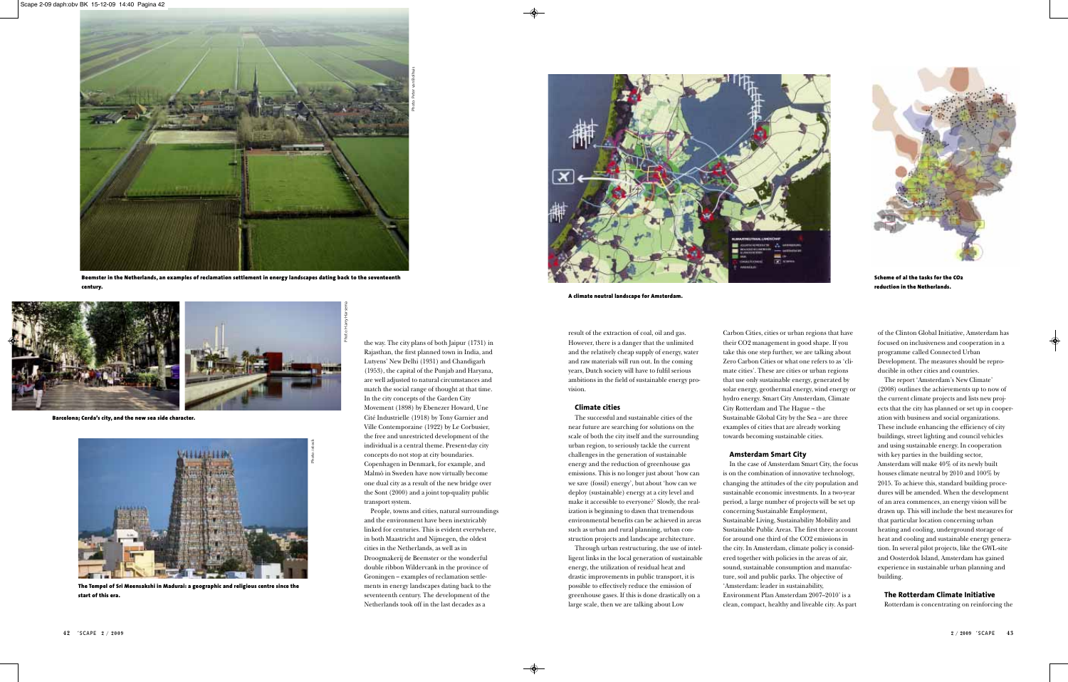result of the extraction of coal, oil and gas. However, there is a danger that the unlimited and the relatively cheap supply of energy, water and raw materials will run out. In the coming years, Dutch society will have to fulfil serious ambitions in the field of sustainable energy provision.

#### **Climate cities**

The successful and sustainable cities of the near future are searching for solutions on the scale of both the city itself and the surrounding urban region, to seriously tackle the current challenges in the generation of sustainable energy and the reduction of greenhouse gas emissions. This is no longer just about 'how can we save (fossil) energy', but about 'how can we deploy (sustainable) energy at a city level and make it accessible to everyone?' Slowly, the realization is beginning to dawn that tremendous environmental benefits can be achieved in areas such as urban and rural planning, urban construction projects and landscape architecture.

Through urban restructuring, the use of intelligent links in the local generation of sustainable energy, the utilization of residual heat and drastic improvements in public transport, it is possible to effectively reduce the emission of greenhouse gases. If this is done drastically on a large scale, then we are talking about Low

Carbon Cities, cities or urban regions that have their CO2 management in good shape. If you take this one step further, we are talking about Zero Carbon Cities or what one refers to as 'climate cities'. These are cities or urban regions that use only sustainable energy, generated by solar energy, geothermal energy, wind energy or hydro energy. Smart City Amsterdam, Climate City Rotterdam and The Hague – the Sustainable Global City by the Sea – are three examples of cities that are already working towards becoming sustainable cities.

## **Amsterdam Smart City**

In the case of Amsterdam Smart City, the focus is on the combination of innovative technology, changing the attitudes of the city population and sustainable economic investments. In a two-year period, a large number of projects will be set up concerning Sustainable Employment, Sustainable Living, Sustainability Mobility and Sustainable Public Areas. The first three account for around one third of the CO2 emissions in the city. In Amsterdam, climate policy is considered together with policies in the areas of air, sound, sustainable consumption and manufacture, soil and public parks. The objective of 'Amsterdam: leader in sustainability, Environment Plan Amsterdam 2007–2010' is a clean, compact, healthy and liveable city. As part

of the Clinton Global Initiative, Amsterdam has focused on inclusiveness and cooperation in a programme called Connected Urban Development. The measures should be reproducible in other cities and countries.

The report 'Amsterdam's New Climate' (2008) outlines the achievements up to now of the current climate projects and lists new projects that the city has planned or set up in cooperation with business and social organizations. These include enhancing the efficiency of city buildings, street lighting and council vehicles and using sustainable energy. In cooperation with key parties in the building sector, Amsterdam will make 40% of its newly built houses climate neutral by 2010 and 100% by 2015. To achieve this, standard building procedures will be amended. When the development of an area commences, an energy vision will be drawn up. This will include the best measures for that particular location concerning urban heating and cooling, underground storage of heat and cooling and sustainable energy generation. In several pilot projects, like the GWL-site and Oosterdok Island, Amsterdam has gained experience in sustainable urban planning and building.

## **The Rotterdam Climate Initiative**

Rotterdam is concentrating on reinforcing the

the way. The city plans of both Jaipur (1731) in Rajasthan, the first planned town in India, and Lutyens' New Delhi (1931) and Chandigarh (1953), the capital of the Punjab and Haryana, are well adjusted to natural circumstances and match the social range of thought at that time. In the city concepts of the Garden City Movement (1898) by Ebenezer Howard, Une Cité Industrielle (1918) by Tony Garnier and Ville Contemporaine (1922) by Le Corbusier, the free and unrestricted development of the individual is a central theme. Present-day city concepts do not stop at city boundaries. Copenhagen in Denmark, for example, and Malmö in Sweden have now virtually become one dual city as a result of the new bridge over the Sont (2000) and a joint top-quality public transport system.

People, towns and cities, natural surroundings and the environment have been inextricably linked for centuries. This is evident everywhere, in both Maastricht and Nijmegen, the oldest cities in the Netherlands, as well as in Droogmakerij de Beemster or the wonderful double ribbon Wildervank in the province of Groningen – examples of reclamation settlements in energy landscapes dating back to the seventeenth century. The development of the Netherlands took off in the last decades as a



**The Tempel of Sri Meensakshi in Madurai: a geographic and religious centre since the start of this era.**



**Beemster in the Netherlands, an examples of reclamation settlement in energy landscapes dating back to the seventeenth century.**



**A climate neutral landscape for Amsterdam.**



**Scheme of al the tasks for the CO2 reduction in the Netherlands.**



**Barcelona; Cerda's city, and the new sea side character.**